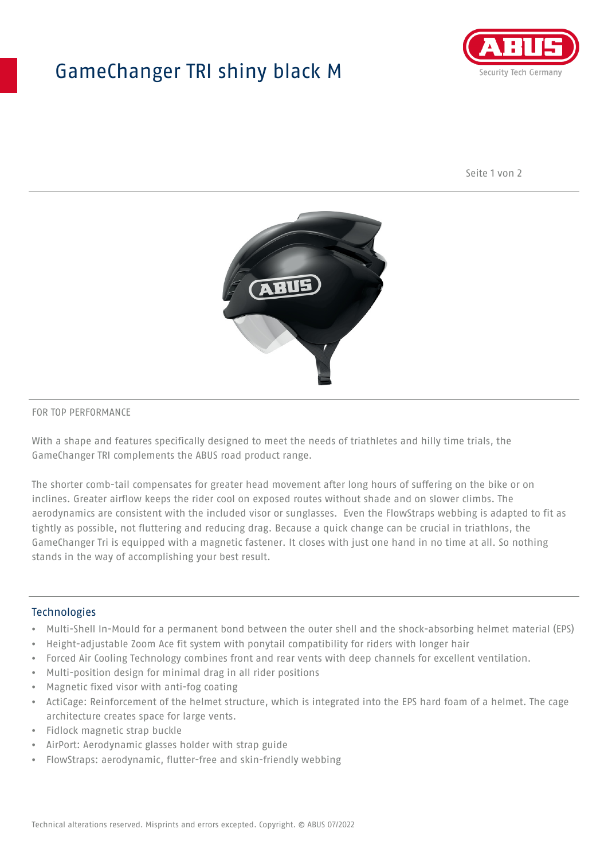## GameChanger TRI shiny black M



Seite 1 von 2



#### FOR TOP PERFORMANCE

With a shape and features specifically designed to meet the needs of triathletes and hilly time trials, the GameChanger TRI complements the ABUS road product range.

The shorter comb-tail compensates for greater head movement after long hours of suffering on the bike or on inclines. Greater airflow keeps the rider cool on exposed routes without shade and on slower climbs. The aerodynamics are consistent with the included visor or sunglasses. Even the FlowStraps webbing is adapted to fit as tightly as possible, not fluttering and reducing drag. Because a quick change can be crucial in triathlons, the GameChanger Tri is equipped with a magnetic fastener. It closes with just one hand in no time at all. So nothing stands in the way of accomplishing your best result.

#### **Technologies**

- Multi-Shell In-Mould for a permanent bond between the outer shell and the shock-absorbing helmet material (EPS)
- Height-adjustable Zoom Ace fit system with ponytail compatibility for riders with longer hair
- Forced Air Cooling Technology combines front and rear vents with deep channels for excellent ventilation.
- Multi-position design for minimal drag in all rider positions
- Magnetic fixed visor with anti-fog coating
- ActiCage: Reinforcement of the helmet structure, which is integrated into the EPS hard foam of a helmet. The cage architecture creates space for large vents.
- Fidlock magnetic strap buckle
- AirPort: Aerodynamic glasses holder with strap guide
- FlowStraps: aerodynamic, flutter-free and skin-friendly webbing